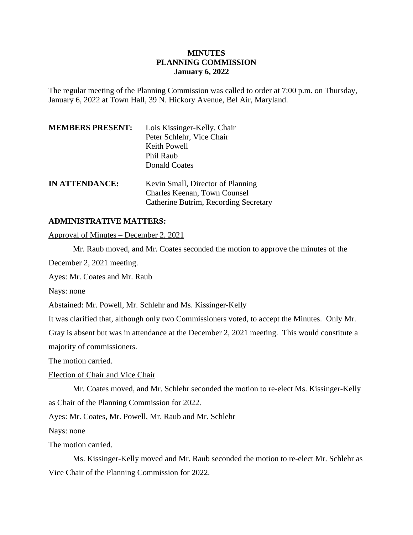# **MINUTES PLANNING COMMISSION January 6, 2022**

The regular meeting of the Planning Commission was called to order at 7:00 p.m. on Thursday, January 6, 2022 at Town Hall, 39 N. Hickory Avenue, Bel Air, Maryland.

| <b>MEMBERS PRESENT:</b> | Lois Kissinger-Kelly, Chair<br>Peter Schlehr, Vice Chair<br>Keith Powell                                   |
|-------------------------|------------------------------------------------------------------------------------------------------------|
|                         | Phil Raub<br><b>Donald Coates</b>                                                                          |
| <b>IN ATTENDANCE:</b>   | Kevin Small, Director of Planning<br>Charles Keenan, Town Counsel<br>Catherine Butrim, Recording Secretary |

### **ADMINISTRATIVE MATTERS:**

Approval of Minutes – December 2, 2021

Mr. Raub moved, and Mr. Coates seconded the motion to approve the minutes of the

December 2, 2021 meeting.

Ayes: Mr. Coates and Mr. Raub

Nays: none

Abstained: Mr. Powell, Mr. Schlehr and Ms. Kissinger-Kelly

It was clarified that, although only two Commissioners voted, to accept the Minutes. Only Mr.

Gray is absent but was in attendance at the December 2, 2021 meeting. This would constitute a

majority of commissioners.

The motion carried.

Election of Chair and Vice Chair

Mr. Coates moved, and Mr. Schlehr seconded the motion to re-elect Ms. Kissinger-Kelly as Chair of the Planning Commission for 2022.

Ayes: Mr. Coates, Mr. Powell, Mr. Raub and Mr. Schlehr

Nays: none

The motion carried.

Ms. Kissinger-Kelly moved and Mr. Raub seconded the motion to re-elect Mr. Schlehr as Vice Chair of the Planning Commission for 2022.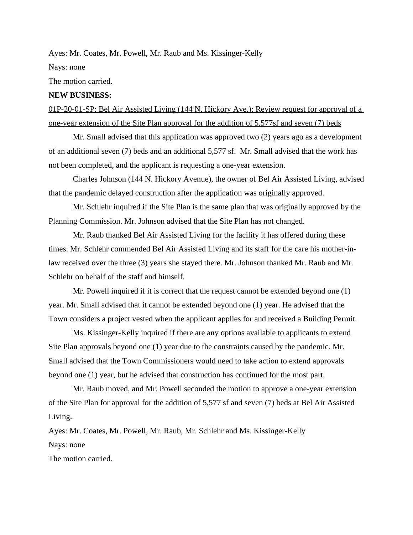Ayes: Mr. Coates, Mr. Powell, Mr. Raub and Ms. Kissinger-Kelly

Nays: none

The motion carried.

#### **NEW BUSINESS:**

01P-20-01-SP: Bel Air Assisted Living (144 N. Hickory Ave.): Review request for approval of a one-year extension of the Site Plan approval for the addition of 5,577sf and seven (7) beds

Mr. Small advised that this application was approved two (2) years ago as a development of an additional seven (7) beds and an additional 5,577 sf. Mr. Small advised that the work has not been completed, and the applicant is requesting a one-year extension.

Charles Johnson (144 N. Hickory Avenue), the owner of Bel Air Assisted Living, advised that the pandemic delayed construction after the application was originally approved.

Mr. Schlehr inquired if the Site Plan is the same plan that was originally approved by the Planning Commission. Mr. Johnson advised that the Site Plan has not changed.

Mr. Raub thanked Bel Air Assisted Living for the facility it has offered during these times. Mr. Schlehr commended Bel Air Assisted Living and its staff for the care his mother-inlaw received over the three (3) years she stayed there. Mr. Johnson thanked Mr. Raub and Mr. Schlehr on behalf of the staff and himself.

Mr. Powell inquired if it is correct that the request cannot be extended beyond one (1) year. Mr. Small advised that it cannot be extended beyond one (1) year. He advised that the Town considers a project vested when the applicant applies for and received a Building Permit.

Ms. Kissinger-Kelly inquired if there are any options available to applicants to extend Site Plan approvals beyond one (1) year due to the constraints caused by the pandemic. Mr. Small advised that the Town Commissioners would need to take action to extend approvals beyond one (1) year, but he advised that construction has continued for the most part.

Mr. Raub moved, and Mr. Powell seconded the motion to approve a one-year extension of the Site Plan for approval for the addition of 5,577 sf and seven (7) beds at Bel Air Assisted Living.

Ayes: Mr. Coates, Mr. Powell, Mr. Raub, Mr. Schlehr and Ms. Kissinger-Kelly Nays: none

The motion carried.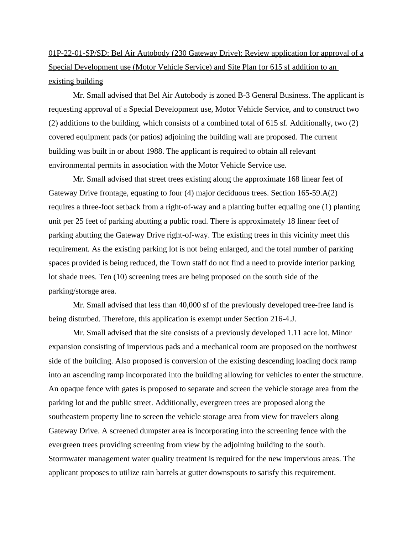01P-22-01-SP/SD: Bel Air Autobody (230 Gateway Drive): Review application for approval of a Special Development use (Motor Vehicle Service) and Site Plan for 615 sf addition to an existing building

Mr. Small advised that Bel Air Autobody is zoned B-3 General Business. The applicant is requesting approval of a Special Development use, Motor Vehicle Service, and to construct two (2) additions to the building, which consists of a combined total of 615 sf. Additionally, two (2) covered equipment pads (or patios) adjoining the building wall are proposed. The current building was built in or about 1988. The applicant is required to obtain all relevant environmental permits in association with the Motor Vehicle Service use.

Mr. Small advised that street trees existing along the approximate 168 linear feet of Gateway Drive frontage, equating to four (4) major deciduous trees. Section 165-59.A(2) requires a three-foot setback from a right-of-way and a planting buffer equaling one (1) planting unit per 25 feet of parking abutting a public road. There is approximately 18 linear feet of parking abutting the Gateway Drive right-of-way. The existing trees in this vicinity meet this requirement. As the existing parking lot is not being enlarged, and the total number of parking spaces provided is being reduced, the Town staff do not find a need to provide interior parking lot shade trees. Ten (10) screening trees are being proposed on the south side of the parking/storage area.

Mr. Small advised that less than 40,000 sf of the previously developed tree-free land is being disturbed. Therefore, this application is exempt under Section 216-4.J.

Mr. Small advised that the site consists of a previously developed 1.11 acre lot. Minor expansion consisting of impervious pads and a mechanical room are proposed on the northwest side of the building. Also proposed is conversion of the existing descending loading dock ramp into an ascending ramp incorporated into the building allowing for vehicles to enter the structure. An opaque fence with gates is proposed to separate and screen the vehicle storage area from the parking lot and the public street. Additionally, evergreen trees are proposed along the southeastern property line to screen the vehicle storage area from view for travelers along Gateway Drive. A screened dumpster area is incorporating into the screening fence with the evergreen trees providing screening from view by the adjoining building to the south. Stormwater management water quality treatment is required for the new impervious areas. The applicant proposes to utilize rain barrels at gutter downspouts to satisfy this requirement.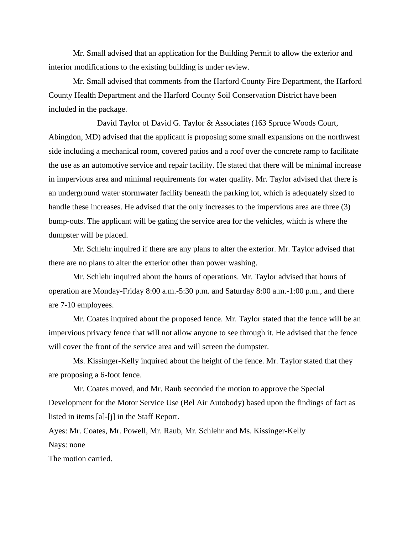Mr. Small advised that an application for the Building Permit to allow the exterior and interior modifications to the existing building is under review.

Mr. Small advised that comments from the Harford County Fire Department, the Harford County Health Department and the Harford County Soil Conservation District have been included in the package.

David Taylor of David G. Taylor & Associates (163 Spruce Woods Court, Abingdon, MD) advised that the applicant is proposing some small expansions on the northwest side including a mechanical room, covered patios and a roof over the concrete ramp to facilitate the use as an automotive service and repair facility. He stated that there will be minimal increase in impervious area and minimal requirements for water quality. Mr. Taylor advised that there is an underground water stormwater facility beneath the parking lot, which is adequately sized to handle these increases. He advised that the only increases to the impervious area are three (3) bump-outs. The applicant will be gating the service area for the vehicles, which is where the dumpster will be placed.

Mr. Schlehr inquired if there are any plans to alter the exterior. Mr. Taylor advised that there are no plans to alter the exterior other than power washing.

Mr. Schlehr inquired about the hours of operations. Mr. Taylor advised that hours of operation are Monday-Friday 8:00 a.m.-5:30 p.m. and Saturday 8:00 a.m.-1:00 p.m., and there are 7-10 employees.

Mr. Coates inquired about the proposed fence. Mr. Taylor stated that the fence will be an impervious privacy fence that will not allow anyone to see through it. He advised that the fence will cover the front of the service area and will screen the dumpster.

Ms. Kissinger-Kelly inquired about the height of the fence. Mr. Taylor stated that they are proposing a 6-foot fence.

Mr. Coates moved, and Mr. Raub seconded the motion to approve the Special Development for the Motor Service Use (Bel Air Autobody) based upon the findings of fact as listed in items [a]-[j] in the Staff Report.

Ayes: Mr. Coates, Mr. Powell, Mr. Raub, Mr. Schlehr and Ms. Kissinger-Kelly Nays: none

The motion carried.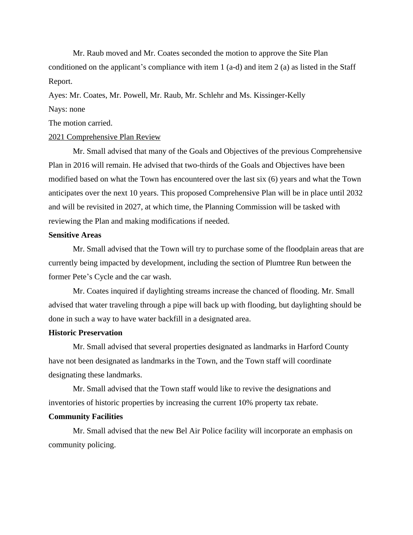Mr. Raub moved and Mr. Coates seconded the motion to approve the Site Plan conditioned on the applicant's compliance with item 1 (a-d) and item 2 (a) as listed in the Staff Report.

Ayes: Mr. Coates, Mr. Powell, Mr. Raub, Mr. Schlehr and Ms. Kissinger-Kelly

# Nays: none

The motion carried.

# 2021 Comprehensive Plan Review

Mr. Small advised that many of the Goals and Objectives of the previous Comprehensive Plan in 2016 will remain. He advised that two-thirds of the Goals and Objectives have been modified based on what the Town has encountered over the last six (6) years and what the Town anticipates over the next 10 years. This proposed Comprehensive Plan will be in place until 2032 and will be revisited in 2027, at which time, the Planning Commission will be tasked with reviewing the Plan and making modifications if needed.

# **Sensitive Areas**

Mr. Small advised that the Town will try to purchase some of the floodplain areas that are currently being impacted by development, including the section of Plumtree Run between the former Pete's Cycle and the car wash.

Mr. Coates inquired if daylighting streams increase the chanced of flooding. Mr. Small advised that water traveling through a pipe will back up with flooding, but daylighting should be done in such a way to have water backfill in a designated area.

# **Historic Preservation**

Mr. Small advised that several properties designated as landmarks in Harford County have not been designated as landmarks in the Town, and the Town staff will coordinate designating these landmarks.

Mr. Small advised that the Town staff would like to revive the designations and inventories of historic properties by increasing the current 10% property tax rebate.

# **Community Facilities**

Mr. Small advised that the new Bel Air Police facility will incorporate an emphasis on community policing.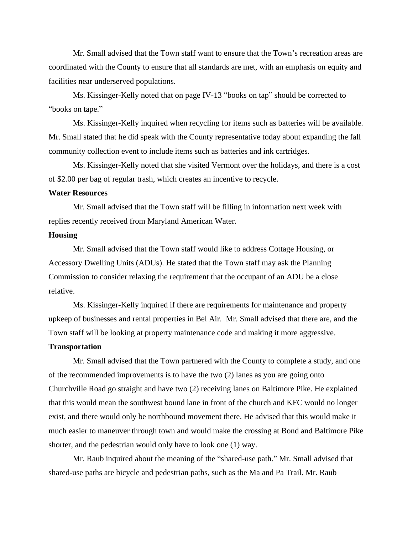Mr. Small advised that the Town staff want to ensure that the Town's recreation areas are coordinated with the County to ensure that all standards are met, with an emphasis on equity and facilities near underserved populations.

Ms. Kissinger-Kelly noted that on page IV-13 "books on tap" should be corrected to "books on tape."

Ms. Kissinger-Kelly inquired when recycling for items such as batteries will be available. Mr. Small stated that he did speak with the County representative today about expanding the fall community collection event to include items such as batteries and ink cartridges.

Ms. Kissinger-Kelly noted that she visited Vermont over the holidays, and there is a cost of \$2.00 per bag of regular trash, which creates an incentive to recycle.

#### **Water Resources**

Mr. Small advised that the Town staff will be filling in information next week with replies recently received from Maryland American Water.

### **Housing**

Mr. Small advised that the Town staff would like to address Cottage Housing, or Accessory Dwelling Units (ADUs). He stated that the Town staff may ask the Planning Commission to consider relaxing the requirement that the occupant of an ADU be a close relative.

Ms. Kissinger-Kelly inquired if there are requirements for maintenance and property upkeep of businesses and rental properties in Bel Air. Mr. Small advised that there are, and the Town staff will be looking at property maintenance code and making it more aggressive.

### **Transportation**

Mr. Small advised that the Town partnered with the County to complete a study, and one of the recommended improvements is to have the two (2) lanes as you are going onto Churchville Road go straight and have two (2) receiving lanes on Baltimore Pike. He explained that this would mean the southwest bound lane in front of the church and KFC would no longer exist, and there would only be northbound movement there. He advised that this would make it much easier to maneuver through town and would make the crossing at Bond and Baltimore Pike shorter, and the pedestrian would only have to look one (1) way.

Mr. Raub inquired about the meaning of the "shared-use path." Mr. Small advised that shared-use paths are bicycle and pedestrian paths, such as the Ma and Pa Trail. Mr. Raub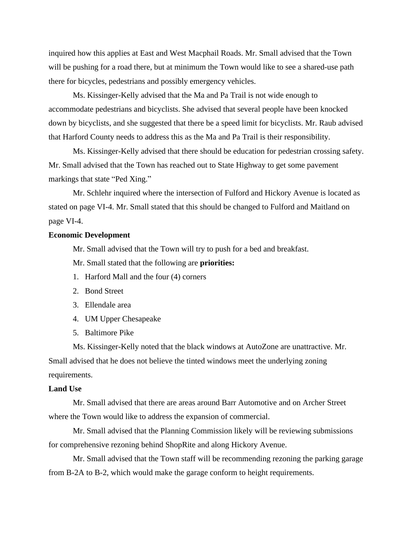inquired how this applies at East and West Macphail Roads. Mr. Small advised that the Town will be pushing for a road there, but at minimum the Town would like to see a shared-use path there for bicycles, pedestrians and possibly emergency vehicles.

Ms. Kissinger-Kelly advised that the Ma and Pa Trail is not wide enough to accommodate pedestrians and bicyclists. She advised that several people have been knocked down by bicyclists, and she suggested that there be a speed limit for bicyclists. Mr. Raub advised that Harford County needs to address this as the Ma and Pa Trail is their responsibility.

Ms. Kissinger-Kelly advised that there should be education for pedestrian crossing safety. Mr. Small advised that the Town has reached out to State Highway to get some pavement markings that state "Ped Xing."

Mr. Schlehr inquired where the intersection of Fulford and Hickory Avenue is located as stated on page VI-4. Mr. Small stated that this should be changed to Fulford and Maitland on page VI-4.

### **Economic Development**

Mr. Small advised that the Town will try to push for a bed and breakfast.

Mr. Small stated that the following are **priorities:**

- 1. Harford Mall and the four (4) corners
- 2. Bond Street
- 3. Ellendale area
- 4. UM Upper Chesapeake
- 5. Baltimore Pike

Ms. Kissinger-Kelly noted that the black windows at AutoZone are unattractive. Mr. Small advised that he does not believe the tinted windows meet the underlying zoning requirements.

#### **Land Use**

Mr. Small advised that there are areas around Barr Automotive and on Archer Street where the Town would like to address the expansion of commercial.

Mr. Small advised that the Planning Commission likely will be reviewing submissions for comprehensive rezoning behind ShopRite and along Hickory Avenue.

Mr. Small advised that the Town staff will be recommending rezoning the parking garage from B-2A to B-2, which would make the garage conform to height requirements.